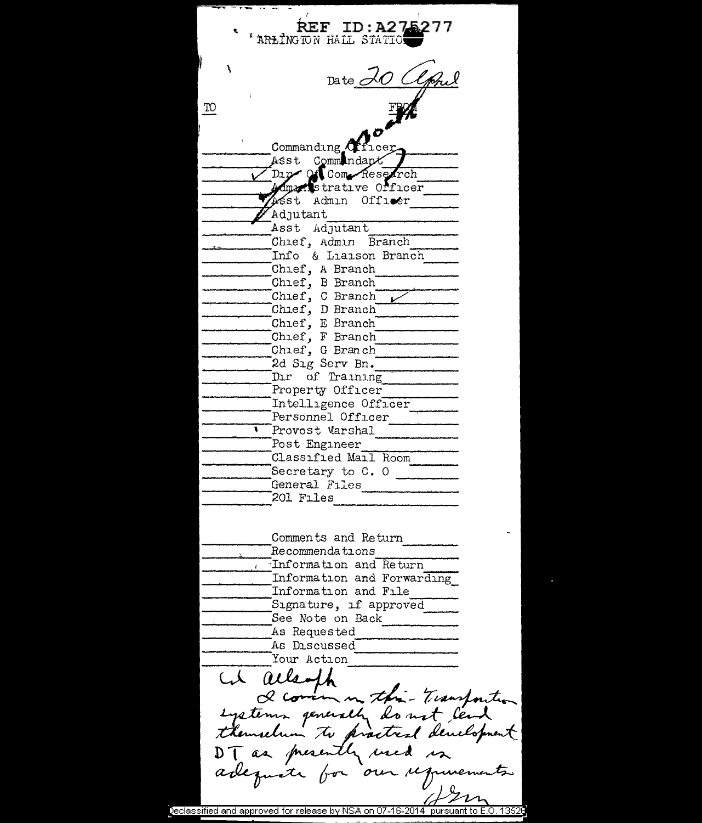$REF ID: A275$ ARLINGTON HALL STATIO Date 20 Clpn TO. Commanding Africer Asst Commundant Dır Of Com Research Mmanstrative Officer Asst Admin Officer Adjutant Asst Adjutant Chief, Admin Branch Info & Liaison Branch Chief, A Branch Chief, B Branch Chief, C Branch Chief, D Branch Chief, E Branch Chief, F Branch Chief, G Branch 2d Sig Serv Bn. Dir of Training Property Officer Intelligence Officer Personnel Officer Provost Marshal Post Engineer Classified Mail Room Secretary to  $C. 0$ General Files 201 Files Comments and Return Recommendations Information and Return Information and Forwarding Information and File Signature, if approved See Note on Back As Requested As Discussed Your Action at allamph I commention - Transfortion expetence penerally do not lead themselven to practical development DT as presently used in  $\Omega$ eclassified and approved for release by NSA on 07-16-2014  $\,$  pursuant to